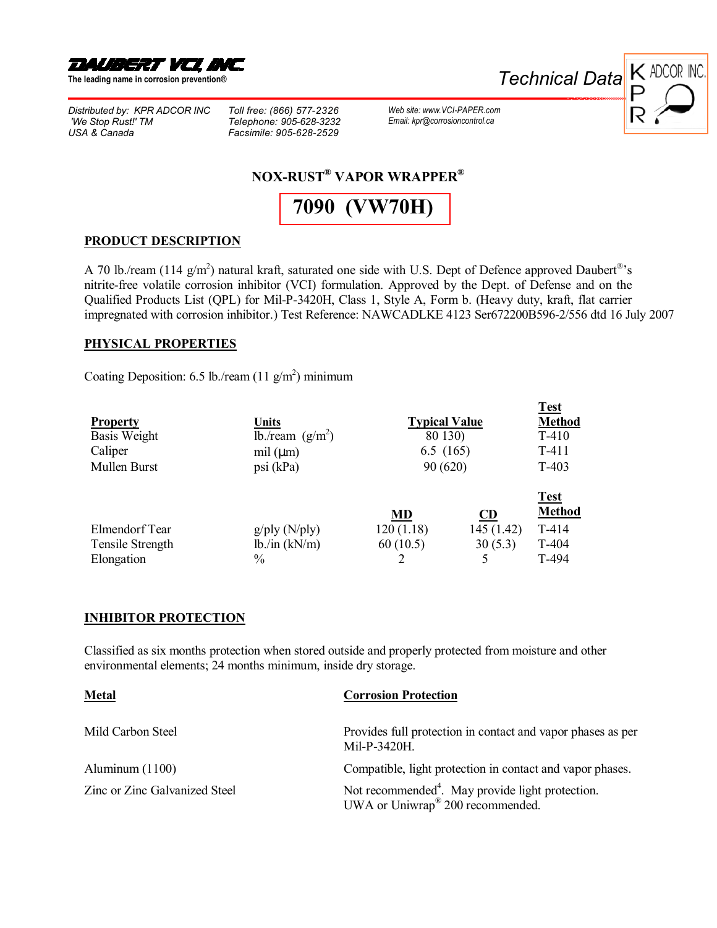

**The leading name in corrosion preventionÆ** 

*Distributed by: KPR ADCOR INC 'We Stop Rust!' TM USA & Canada*

*Toll free: (866) 577-2326 Telephone: 905-628-3232 Facsimile: 905-628-2529*

*Web site: www.VCI-PAPER.com Email: [kpr@corrosioncontrol.ca](http://www.vci-paper.com)*



# **NOX-RUST<sup>®</sup> VAPOR WRAPPER<sup>®</sup>**

**7090 ([VW70H](http://www.corrosionvci.com/corrosion/proddetail.php?prod=VW70H-36&cat=68))**

#### **PRODUCT DESCRIPTION**

A 70 lb./ream (114 g/m<sup>2</sup>) natural kraft, saturated one side with U.S. Dept of Defence approved Daubert<sup>®</sup>'s nitrite-free volatile corrosion inhibitor (VCI) formulation. Approved by the Dept. of Defense and on the Qualified Products List (QPL) for Mil-P-3420H, Class 1, Style A, Form b. (Heavy duty, kraft, flat carrier impregnated with corrosion inhibitor.) Test Reference: NAWCADLKE 4123 Ser672200B596-2/556 dtd 16 July 2007

#### **PHYSICAL PROPERTIES**

Coating Deposition: 6.5 lb./ream  $(11 \text{ g/m}^2)$  minimum

|                  |                    |                      |            | <b>Test</b>   |
|------------------|--------------------|----------------------|------------|---------------|
| <b>Property</b>  | Units              | <b>Typical Value</b> |            | <b>Method</b> |
| Basis Weight     | lb./ream $(g/m2)$  | 80 130)              |            | $T-410$       |
| Caliper          | mil $(\mu m)$      | 6.5(165)             |            | $T-411$       |
| Mullen Burst     | psi (kPa)          | 90 (620)             |            | T-403         |
|                  |                    |                      |            |               |
|                  |                    |                      |            | <b>Test</b>   |
|                  |                    | MD                   | CD         | <b>Method</b> |
| Elmendorf Tear   | $g$ /ply (N/ply)   | 120(1.18)            | 145 (1.42) | $T-414$       |
| Tensile Strength | $lb$ ./in $(kN/m)$ | 60(10.5)             | 30(5.3)    | T-404         |
| Elongation       | $\frac{0}{0}$      |                      | 5          | T-494         |

### **INHIBITOR PROTECTION**

Classified as six months protection when stored outside and properly protected from moisture and other environmental elements; 24 months minimum, inside dry storage.

| <b>Metal</b>                  | <b>Corrosion Protection</b>                                                                                  |  |
|-------------------------------|--------------------------------------------------------------------------------------------------------------|--|
| Mild Carbon Steel             | Provides full protection in contact and vapor phases as per<br>Mil-P-3420H.                                  |  |
| Aluminum (1100)               | Compatible, light protection in contact and vapor phases.                                                    |  |
| Zinc or Zinc Galvanized Steel | Not recommended <sup>4</sup> . May provide light protection.<br>UWA or Uniwrap <sup>®</sup> 200 recommended. |  |